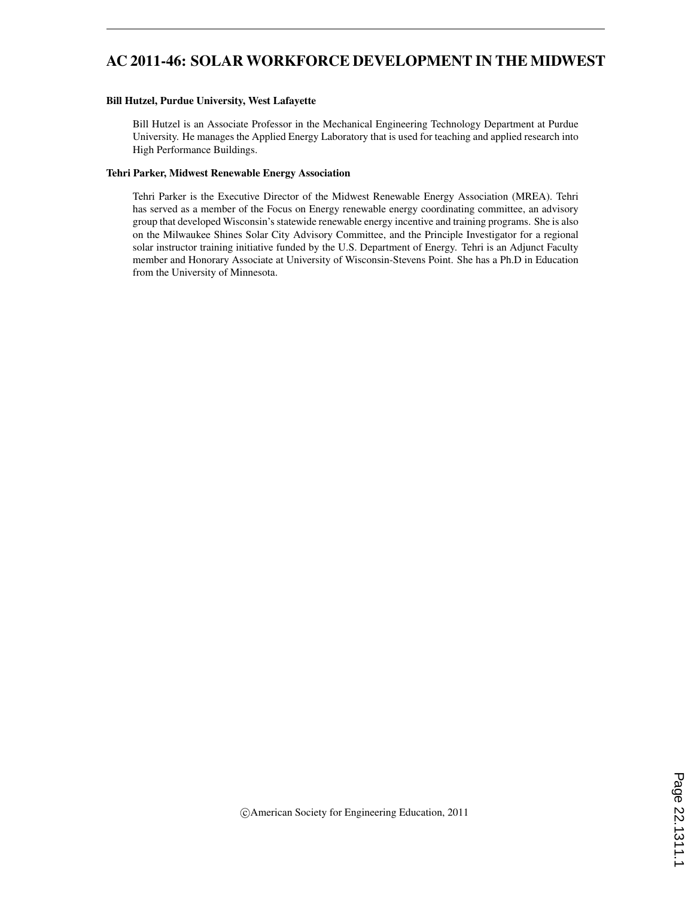# AC 2011-46: SOLAR WORKFORCE DEVELOPMENT IN THE MIDWEST

#### Bill Hutzel, Purdue University, West Lafayette

Bill Hutzel is an Associate Professor in the Mechanical Engineering Technology Department at Purdue University. He manages the Applied Energy Laboratory that is used for teaching and applied research into High Performance Buildings.

#### Tehri Parker, Midwest Renewable Energy Association

Tehri Parker is the Executive Director of the Midwest Renewable Energy Association (MREA). Tehri has served as a member of the Focus on Energy renewable energy coordinating committee, an advisory group that developed Wisconsin's statewide renewable energy incentive and training programs. She is also on the Milwaukee Shines Solar City Advisory Committee, and the Principle Investigator for a regional solar instructor training initiative funded by the U.S. Department of Energy. Tehri is an Adjunct Faculty member and Honorary Associate at University of Wisconsin-Stevens Point. She has a Ph.D in Education from the University of Minnesota.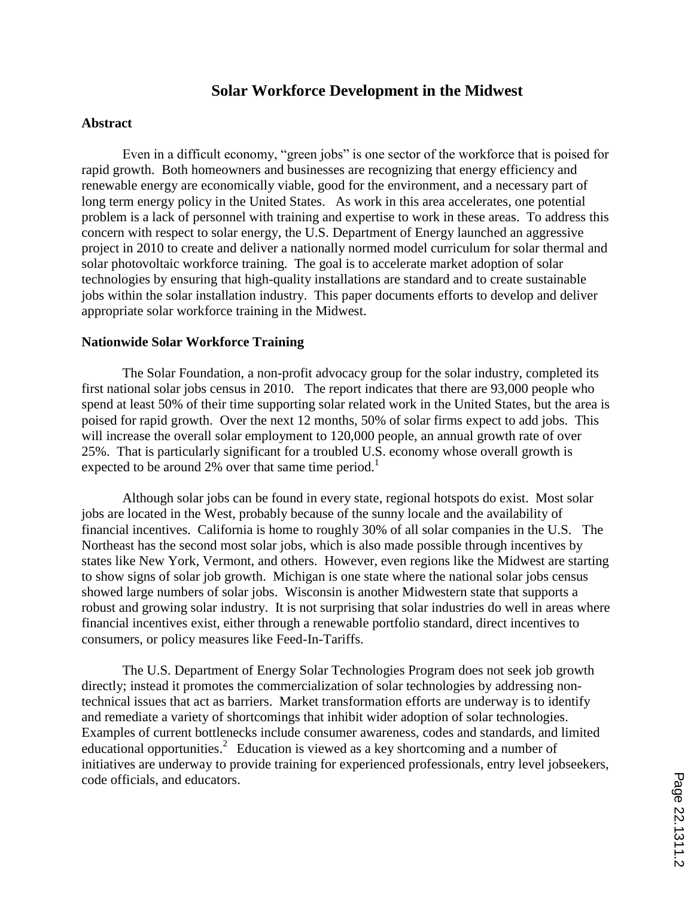# **Solar Workforce Development in the Midwest**

#### **Abstract**

Even in a difficult economy, "green jobs" is one sector of the workforce that is poised for rapid growth. Both homeowners and businesses are recognizing that energy efficiency and renewable energy are economically viable, good for the environment, and a necessary part of long term energy policy in the United States. As work in this area accelerates, one potential problem is a lack of personnel with training and expertise to work in these areas. To address this concern with respect to solar energy, the U.S. Department of Energy launched an aggressive project in 2010 to create and deliver a nationally normed model curriculum for solar thermal and solar photovoltaic workforce training. The goal is to accelerate market adoption of solar technologies by ensuring that high-quality installations are standard and to create sustainable jobs within the solar installation industry. This paper documents efforts to develop and deliver appropriate solar workforce training in the Midwest.

#### **Nationwide Solar Workforce Training**

The Solar Foundation, a non-profit advocacy group for the solar industry, completed its first national solar jobs census in 2010. The report indicates that there are 93,000 people who spend at least 50% of their time supporting solar related work in the United States, but the area is poised for rapid growth. Over the next 12 months, 50% of solar firms expect to add jobs. This will increase the overall solar employment to 120,000 people, an annual growth rate of over 25%. That is particularly significant for a troubled U.S. economy whose overall growth is expected to be around 2% over that same time period.<sup>1</sup>

Although solar jobs can be found in every state, regional hotspots do exist. Most solar jobs are located in the West, probably because of the sunny locale and the availability of financial incentives. California is home to roughly 30% of all solar companies in the U.S. The Northeast has the second most solar jobs, which is also made possible through incentives by states like New York, Vermont, and others. However, even regions like the Midwest are starting to show signs of solar job growth. Michigan is one state where the national solar jobs census showed large numbers of solar jobs. Wisconsin is another Midwestern state that supports a robust and growing solar industry. It is not surprising that solar industries do well in areas where financial incentives exist, either through a renewable portfolio standard, direct incentives to consumers, or policy measures like Feed-In-Tariffs.

The U.S. Department of Energy Solar Technologies Program does not seek job growth directly; instead it promotes the commercialization of solar technologies by addressing nontechnical issues that act as barriers. Market transformation efforts are underway is to identify and remediate a variety of shortcomings that inhibit wider adoption of solar technologies. Examples of current bottlenecks include consumer awareness, codes and standards, and limited educational opportunities.<sup>2</sup> Education is viewed as a key shortcoming and a number of initiatives are underway to provide training for experienced professionals, entry level jobseekers, code officials, and educators.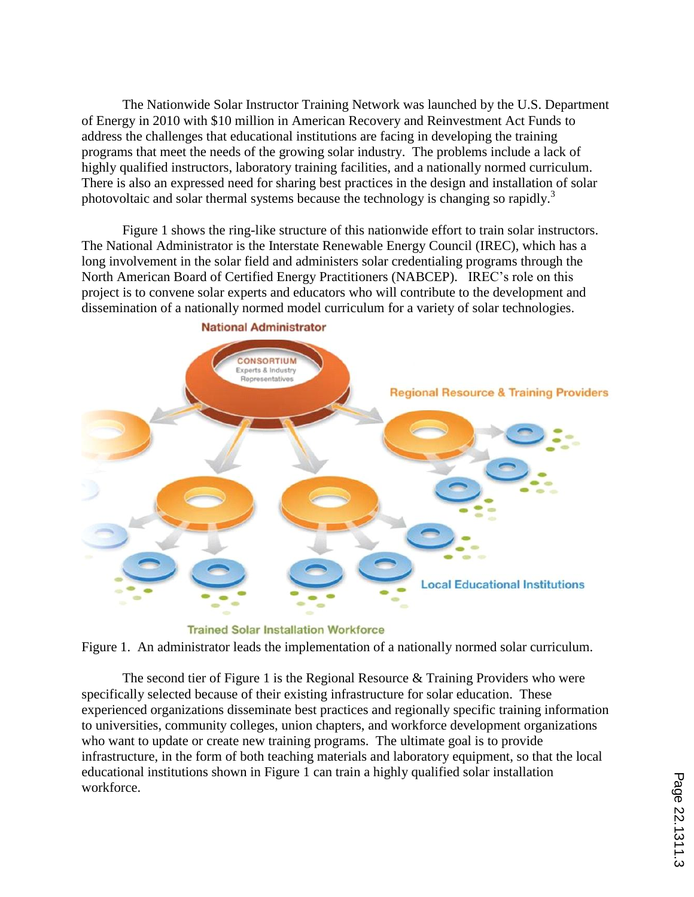The Nationwide Solar Instructor Training Network was launched by the U.S. Department of Energy in 2010 with \$10 million in American Recovery and Reinvestment Act Funds to address the challenges that educational institutions are facing in developing the training programs that meet the needs of the growing solar industry. The problems include a lack of highly qualified instructors, laboratory training facilities, and a nationally normed curriculum. There is also an expressed need for sharing best practices in the design and installation of solar photovoltaic and solar thermal systems because the technology is changing so rapidly.<sup>3</sup>

Figure 1 shows the ring-like structure of this nationwide effort to train solar instructors. The National Administrator is the Interstate Renewable Energy Council (IREC), which has a long involvement in the solar field and administers solar credentialing programs through the North American Board of Certified Energy Practitioners (NABCEP). IREC's role on this project is to convene solar experts and educators who will contribute to the development and dissemination of a nationally normed model curriculum for a variety of solar technologies.



**National Administrator** 

**Trained Solar Installation Workforce** 

Figure 1. An administrator leads the implementation of a nationally normed solar curriculum.

The second tier of Figure 1 is the Regional Resource & Training Providers who were specifically selected because of their existing infrastructure for solar education. These experienced organizations disseminate best practices and regionally specific training information to universities, community colleges, union chapters, and workforce development organizations who want to update or create new training programs. The ultimate goal is to provide infrastructure, in the form of both teaching materials and laboratory equipment, so that the local educational institutions shown in Figure 1 can train a highly qualified solar installation workforce.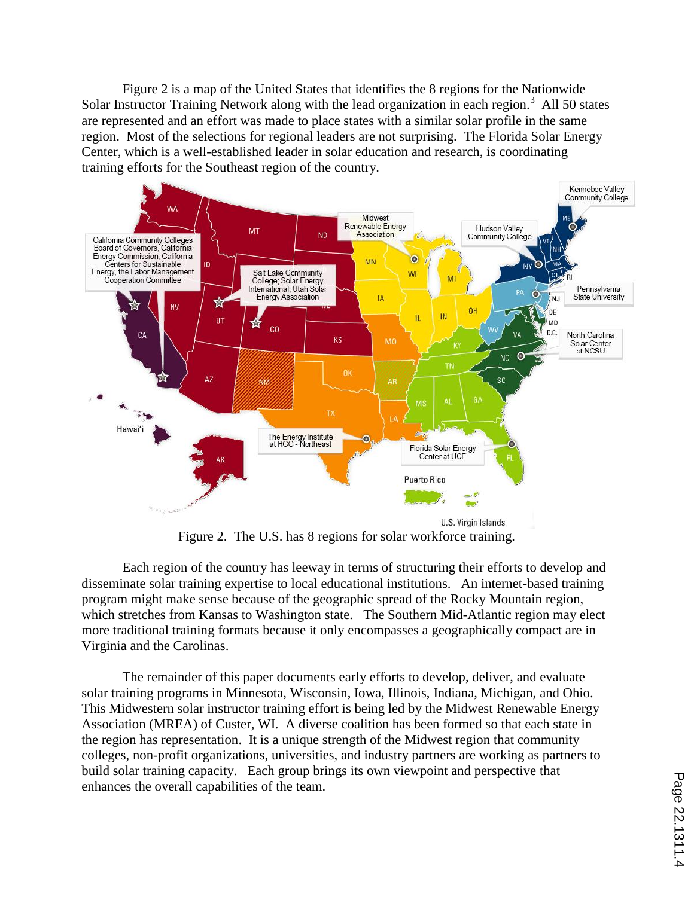Figure 2 is a map of the United States that identifies the 8 regions for the Nationwide Solar Instructor Training Network along with the lead organization in each region.<sup>3</sup> All 50 states are represented and an effort was made to place states with a similar solar profile in the same region. Most of the selections for regional leaders are not surprising. The Florida Solar Energy Center, which is a well-established leader in solar education and research, is coordinating training efforts for the Southeast region of the country.



Figure 2. The U.S. has 8 regions for solar workforce training.

Each region of the country has leeway in terms of structuring their efforts to develop and disseminate solar training expertise to local educational institutions. An internet-based training program might make sense because of the geographic spread of the Rocky Mountain region, which stretches from Kansas to Washington state. The Southern Mid-Atlantic region may elect more traditional training formats because it only encompasses a geographically compact are in Virginia and the Carolinas.

The remainder of this paper documents early efforts to develop, deliver, and evaluate solar training programs in Minnesota, Wisconsin, Iowa, Illinois, Indiana, Michigan, and Ohio. This Midwestern solar instructor training effort is being led by the Midwest Renewable Energy Association (MREA) of Custer, WI. A diverse coalition has been formed so that each state in the region has representation. It is a unique strength of the Midwest region that community colleges, non-profit organizations, universities, and industry partners are working as partners to build solar training capacity. Each group brings its own viewpoint and perspective that enhances the overall capabilities of the team.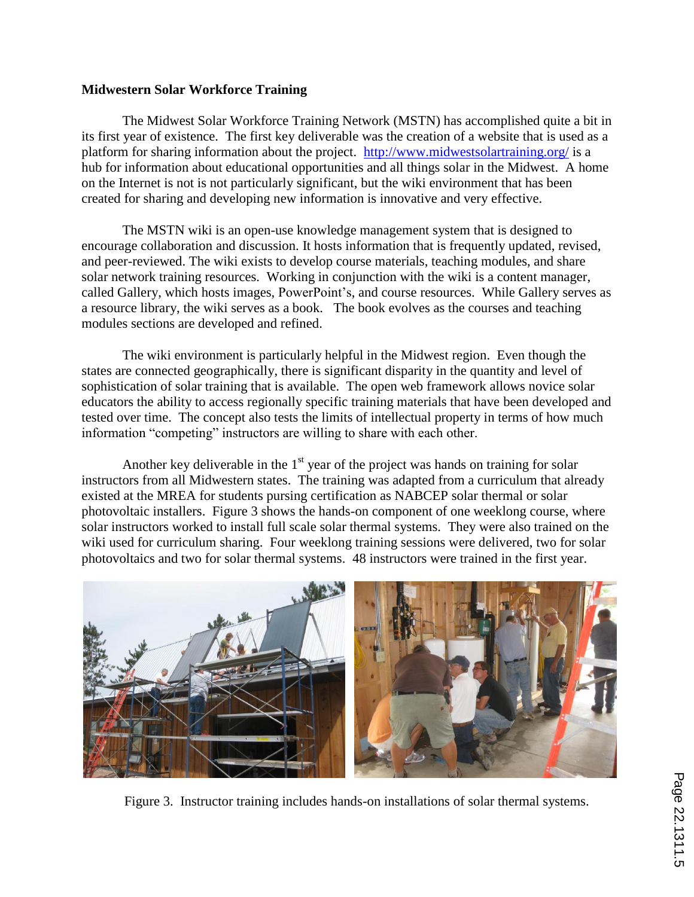### **Midwestern Solar Workforce Training**

The Midwest Solar Workforce Training Network (MSTN) has accomplished quite a bit in its first year of existence. The first key deliverable was the creation of a website that is used as a platform for sharing information about the project. http://www.midwestsolartraining.org/ is a hub for information about educational opportunities and all things solar in the Midwest. A home on the Internet is not is not particularly significant, but the wiki environment that has been created for sharing and developing new information is innovative and very effective.

The MSTN wiki is an open-use knowledge management system that is designed to encourage collaboration and discussion. It hosts information that is frequently updated, revised, and peer-reviewed. The wiki exists to develop course materials, teaching modules, and share solar network training resources. Working in conjunction with the wiki is a content manager, called Gallery, which hosts images, PowerPoint's, and course resources. While Gallery serves as a resource library, the wiki serves as a book. The book evolves as the courses and teaching modules sections are developed and refined.

The wiki environment is particularly helpful in the Midwest region. Even though the states are connected geographically, there is significant disparity in the quantity and level of sophistication of solar training that is available. The open web framework allows novice solar educators the ability to access regionally specific training materials that have been developed and tested over time. The concept also tests the limits of intellectual property in terms of how much information "competing" instructors are willing to share with each other.

Another key deliverable in the  $1<sup>st</sup>$  year of the project was hands on training for solar instructors from all Midwestern states. The training was adapted from a curriculum that already existed at the MREA for students pursing certification as NABCEP solar thermal or solar photovoltaic installers. Figure 3 shows the hands-on component of one weeklong course, where solar instructors worked to install full scale solar thermal systems. They were also trained on the wiki used for curriculum sharing. Four weeklong training sessions were delivered, two for solar photovoltaics and two for solar thermal systems. 48 instructors were trained in the first year.



Figure 3. Instructor training includes hands-on installations of solar thermal systems.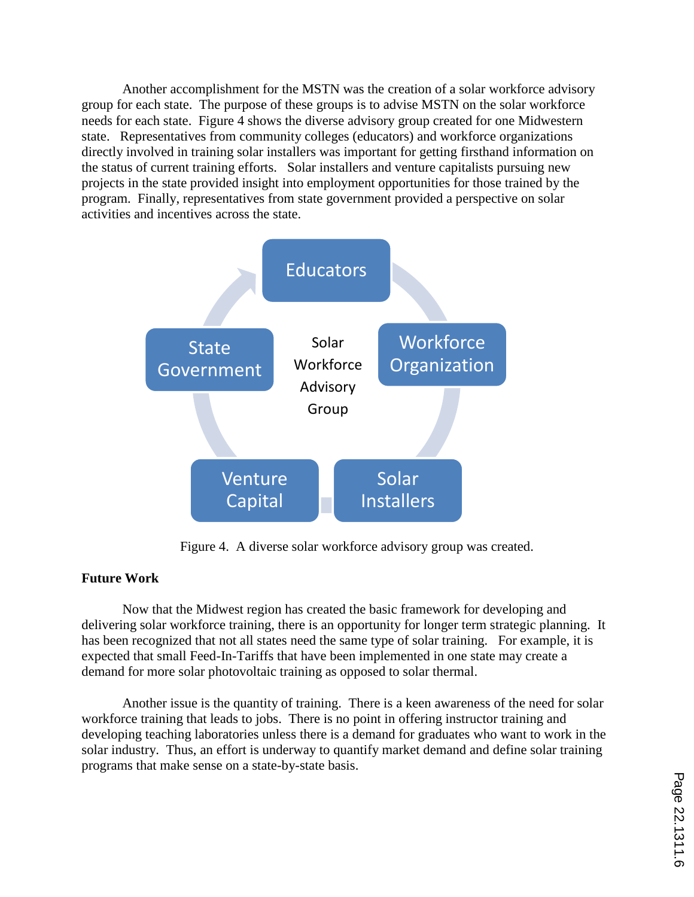Another accomplishment for the MSTN was the creation of a solar workforce advisory group for each state. The purpose of these groups is to advise MSTN on the solar workforce needs for each state. Figure 4 shows the diverse advisory group created for one Midwestern state. Representatives from community colleges (educators) and workforce organizations directly involved in training solar installers was important for getting firsthand information on the status of current training efforts. Solar installers and venture capitalists pursuing new projects in the state provided insight into employment opportunities for those trained by the program. Finally, representatives from state government provided a perspective on solar activities and incentives across the state.



Figure 4. A diverse solar workforce advisory group was created.

# **Future Work**

Now that the Midwest region has created the basic framework for developing and delivering solar workforce training, there is an opportunity for longer term strategic planning. It has been recognized that not all states need the same type of solar training. For example, it is expected that small Feed-In-Tariffs that have been implemented in one state may create a demand for more solar photovoltaic training as opposed to solar thermal.

Another issue is the quantity of training. There is a keen awareness of the need for solar workforce training that leads to jobs. There is no point in offering instructor training and developing teaching laboratories unless there is a demand for graduates who want to work in the solar industry. Thus, an effort is underway to quantify market demand and define solar training programs that make sense on a state-by-state basis.